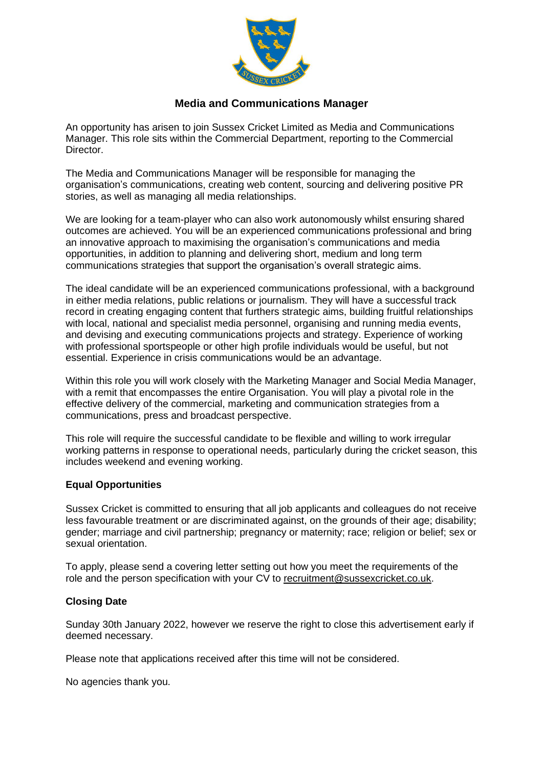

# **Media and Communications Manager**

An opportunity has arisen to join Sussex Cricket Limited as Media and Communications Manager. This role sits within the Commercial Department, reporting to the Commercial Director.

The Media and Communications Manager will be responsible for managing the organisation's communications, creating web content, sourcing and delivering positive PR stories, as well as managing all media relationships.

We are looking for a team-player who can also work autonomously whilst ensuring shared outcomes are achieved. You will be an experienced communications professional and bring an innovative approach to maximising the organisation's communications and media opportunities, in addition to planning and delivering short, medium and long term communications strategies that support the organisation's overall strategic aims.

The ideal candidate will be an experienced communications professional, with a background in either media relations, public relations or journalism. They will have a successful track record in creating engaging content that furthers strategic aims, building fruitful relationships with local, national and specialist media personnel, organising and running media events, and devising and executing communications projects and strategy. Experience of working with professional sportspeople or other high profile individuals would be useful, but not essential. Experience in crisis communications would be an advantage.

Within this role you will work closely with the Marketing Manager and Social Media Manager, with a remit that encompasses the entire Organisation. You will play a pivotal role in the effective delivery of the commercial, marketing and communication strategies from a communications, press and broadcast perspective.

This role will require the successful candidate to be flexible and willing to work irregular working patterns in response to operational needs, particularly during the cricket season, this includes weekend and evening working.

### **Equal Opportunities**

Sussex Cricket is committed to ensuring that all job applicants and colleagues do not receive less favourable treatment or are discriminated against, on the grounds of their age; disability; gender; marriage and civil partnership; pregnancy or maternity; race; religion or belief; sex or sexual orientation.

To apply, please send a covering letter setting out how you meet the requirements of the role and the person specification with your CV to [recruitment@sussexcricket.co.uk.](mailto:recruitment@sussexcricket.co.uk)

# **Closing Date**

Sunday 30th January 2022, however we reserve the right to close this advertisement early if deemed necessary.

Please note that applications received after this time will not be considered.

No agencies thank you.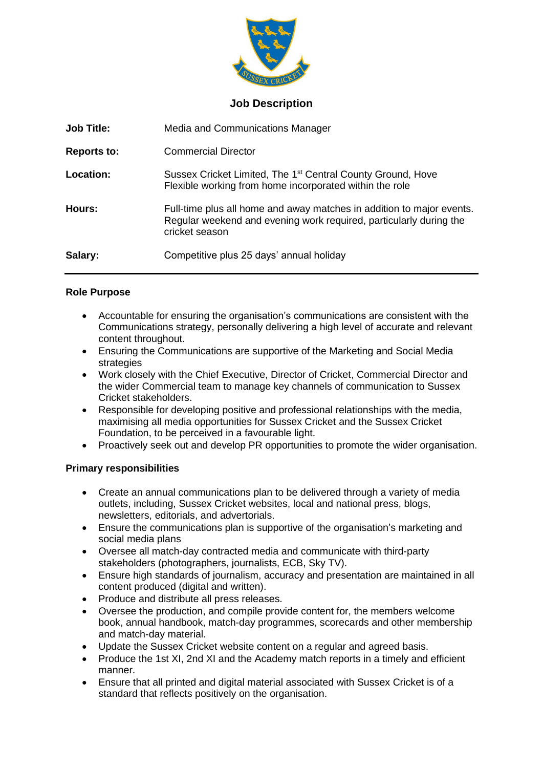

### **Job Description**

| <b>Job Title:</b>  | Media and Communications Manager                                                                                                                              |
|--------------------|---------------------------------------------------------------------------------------------------------------------------------------------------------------|
| <b>Reports to:</b> | <b>Commercial Director</b>                                                                                                                                    |
| Location:          | Sussex Cricket Limited, The 1 <sup>st</sup> Central County Ground, Hove<br>Flexible working from home incorporated within the role                            |
| Hours:             | Full-time plus all home and away matches in addition to major events.<br>Regular weekend and evening work required, particularly during the<br>cricket season |
| Salary:            | Competitive plus 25 days' annual holiday                                                                                                                      |

### **Role Purpose**

- Accountable for ensuring the organisation's communications are consistent with the Communications strategy, personally delivering a high level of accurate and relevant content throughout.
- Ensuring the Communications are supportive of the Marketing and Social Media strategies
- Work closely with the Chief Executive, Director of Cricket, Commercial Director and the wider Commercial team to manage key channels of communication to Sussex Cricket stakeholders.
- Responsible for developing positive and professional relationships with the media, maximising all media opportunities for Sussex Cricket and the Sussex Cricket Foundation, to be perceived in a favourable light.
- Proactively seek out and develop PR opportunities to promote the wider organisation.

# **Primary responsibilities**

- Create an annual communications plan to be delivered through a variety of media outlets, including, Sussex Cricket websites, local and national press, blogs, newsletters, editorials, and advertorials.
- Ensure the communications plan is supportive of the organisation's marketing and social media plans
- Oversee all match-day contracted media and communicate with third-party stakeholders (photographers, journalists, ECB, Sky TV).
- Ensure high standards of journalism, accuracy and presentation are maintained in all content produced (digital and written).
- Produce and distribute all press releases.
- Oversee the production, and compile provide content for, the members welcome book, annual handbook, match-day programmes, scorecards and other membership and match-day material.
- Update the Sussex Cricket website content on a regular and agreed basis.
- Produce the 1st XI, 2nd XI and the Academy match reports in a timely and efficient manner.
- Ensure that all printed and digital material associated with Sussex Cricket is of a standard that reflects positively on the organisation.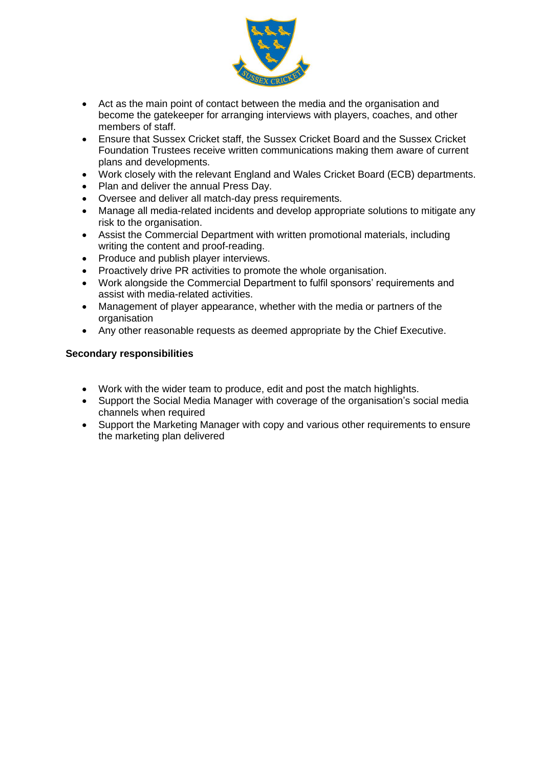

- Act as the main point of contact between the media and the organisation and become the gatekeeper for arranging interviews with players, coaches, and other members of staff.
- Ensure that Sussex Cricket staff, the Sussex Cricket Board and the Sussex Cricket Foundation Trustees receive written communications making them aware of current plans and developments.
- Work closely with the relevant England and Wales Cricket Board (ECB) departments.
- Plan and deliver the annual Press Day.
- Oversee and deliver all match-day press requirements.
- Manage all media-related incidents and develop appropriate solutions to mitigate any risk to the organisation.
- Assist the Commercial Department with written promotional materials, including writing the content and proof-reading.
- Produce and publish player interviews.
- Proactively drive PR activities to promote the whole organisation.
- Work alongside the Commercial Department to fulfil sponsors' requirements and assist with media-related activities.
- Management of player appearance, whether with the media or partners of the organisation
- Any other reasonable requests as deemed appropriate by the Chief Executive.

### **Secondary responsibilities**

- Work with the wider team to produce, edit and post the match highlights.
- Support the Social Media Manager with coverage of the organisation's social media channels when required
- Support the Marketing Manager with copy and various other requirements to ensure the marketing plan delivered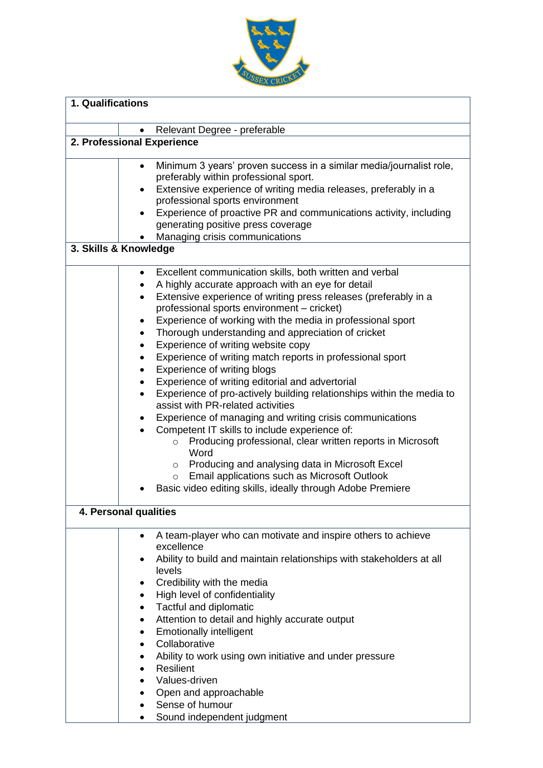

| 1. Qualifications               |                                                                                                                                                                                                                                                                                                                                                                                                                                                                                                                                                                                                                                                                                                                                                                                                                                                                                                                                                                                                                                  |  |
|---------------------------------|----------------------------------------------------------------------------------------------------------------------------------------------------------------------------------------------------------------------------------------------------------------------------------------------------------------------------------------------------------------------------------------------------------------------------------------------------------------------------------------------------------------------------------------------------------------------------------------------------------------------------------------------------------------------------------------------------------------------------------------------------------------------------------------------------------------------------------------------------------------------------------------------------------------------------------------------------------------------------------------------------------------------------------|--|
|                                 |                                                                                                                                                                                                                                                                                                                                                                                                                                                                                                                                                                                                                                                                                                                                                                                                                                                                                                                                                                                                                                  |  |
| ٠<br>2. Professional Experience | Relevant Degree - preferable                                                                                                                                                                                                                                                                                                                                                                                                                                                                                                                                                                                                                                                                                                                                                                                                                                                                                                                                                                                                     |  |
|                                 |                                                                                                                                                                                                                                                                                                                                                                                                                                                                                                                                                                                                                                                                                                                                                                                                                                                                                                                                                                                                                                  |  |
| $\bullet$<br>$\bullet$          | Minimum 3 years' proven success in a similar media/journalist role,<br>preferably within professional sport.<br>Extensive experience of writing media releases, preferably in a<br>professional sports environment<br>Experience of proactive PR and communications activity, including<br>generating positive press coverage<br>Managing crisis communications                                                                                                                                                                                                                                                                                                                                                                                                                                                                                                                                                                                                                                                                  |  |
| 3. Skills & Knowledge           |                                                                                                                                                                                                                                                                                                                                                                                                                                                                                                                                                                                                                                                                                                                                                                                                                                                                                                                                                                                                                                  |  |
| $\bullet$                       | Excellent communication skills, both written and verbal<br>A highly accurate approach with an eye for detail<br>Extensive experience of writing press releases (preferably in a<br>professional sports environment - cricket)<br>Experience of working with the media in professional sport<br>Thorough understanding and appreciation of cricket<br>Experience of writing website copy<br>Experience of writing match reports in professional sport<br>Experience of writing blogs<br>Experience of writing editorial and advertorial<br>Experience of pro-actively building relationships within the media to<br>assist with PR-related activities<br>Experience of managing and writing crisis communications<br>Competent IT skills to include experience of:<br>Producing professional, clear written reports in Microsoft<br>$\circ$<br>Word<br>○ Producing and analysing data in Microsoft Excel<br>Email applications such as Microsoft Outlook<br>$\circ$<br>Basic video editing skills, ideally through Adobe Premiere |  |
| 4. Personal qualities           |                                                                                                                                                                                                                                                                                                                                                                                                                                                                                                                                                                                                                                                                                                                                                                                                                                                                                                                                                                                                                                  |  |
| ٠<br>٠<br>٠                     | A team-player who can motivate and inspire others to achieve<br>excellence<br>Ability to build and maintain relationships with stakeholders at all<br>levels<br>Credibility with the media<br>High level of confidentiality<br>Tactful and diplomatic<br>Attention to detail and highly accurate output<br><b>Emotionally intelligent</b><br>Collaborative<br>Ability to work using own initiative and under pressure<br>Resilient<br>Values-driven<br>Open and approachable<br>Sense of humour<br>Sound independent judgment                                                                                                                                                                                                                                                                                                                                                                                                                                                                                                    |  |